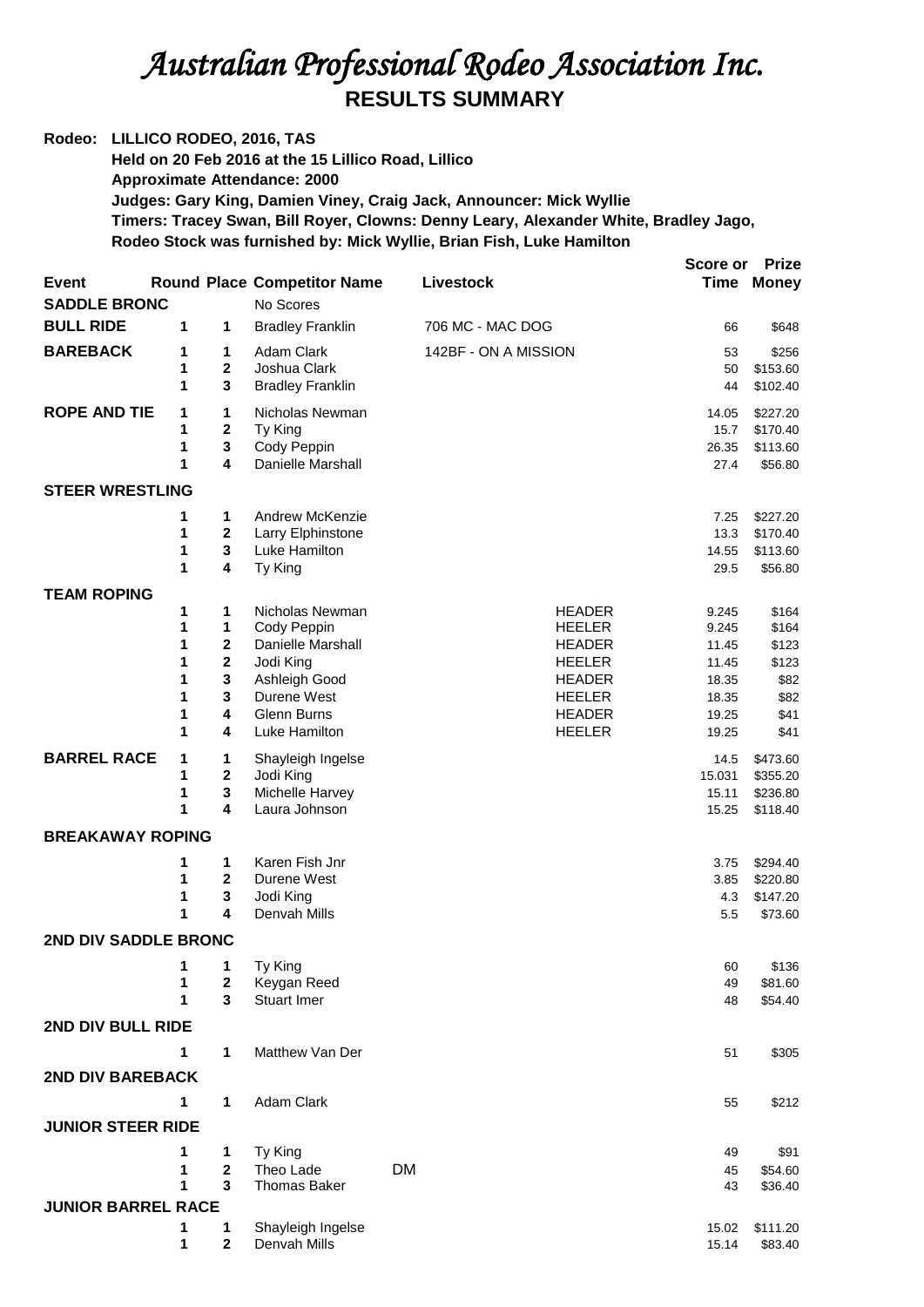## *Australian Professional Rodeo Association Inc.*  **RESULTS SUMMARY**

**Rodeo: LILLICO RODEO, 2016, TAS Held on 20 Feb 2016 at the 15 Lillico Road, Lillico Approximate Attendance: 2000 Judges: Gary King, Damien Viney, Craig Jack, Announcer: Mick Wyllie Timers: Tracey Swan, Bill Royer, Clowns: Denny Leary, Alexander White, Bradley Jago, Rodeo Stock was furnished by: Mick Wyllie, Brian Fish, Luke Hamilton**

|                           |        |                                         |                                    |                                | Score or       | <b>Prize</b>         |  |  |  |
|---------------------------|--------|-----------------------------------------|------------------------------------|--------------------------------|----------------|----------------------|--|--|--|
| Event                     |        |                                         | <b>Round Place Competitor Name</b> | Livestock                      |                | <b>Time Money</b>    |  |  |  |
| <b>SADDLE BRONC</b>       |        |                                         | No Scores                          |                                |                |                      |  |  |  |
| <b>BULL RIDE</b>          | 1      | 1                                       | <b>Bradley Franklin</b>            | 706 MC - MAC DOG               | 66             | \$648                |  |  |  |
| <b>BAREBACK</b>           | 1      | 1                                       | Adam Clark                         | 142BF - ON A MISSION           | 53             | \$256                |  |  |  |
|                           | 1<br>1 | 2<br>3                                  | Joshua Clark                       |                                | 50             | \$153.60             |  |  |  |
|                           |        |                                         | <b>Bradley Franklin</b>            |                                | 44             | \$102.40             |  |  |  |
| <b>ROPE AND TIE</b>       | 1      | 1                                       | Nicholas Newman                    |                                | 14.05          | \$227.20             |  |  |  |
|                           | 1<br>1 | 2<br>$\mathbf 3$                        | Ty King<br>Cody Peppin             |                                | 15.7<br>26.35  | \$170.40<br>\$113.60 |  |  |  |
|                           | 1      | 4                                       | Danielle Marshall                  |                                | 27.4           | \$56.80              |  |  |  |
| <b>STEER WRESTLING</b>    |        |                                         |                                    |                                |                |                      |  |  |  |
|                           | 1      | 1                                       | Andrew McKenzie                    |                                | 7.25           | \$227.20             |  |  |  |
|                           | 1      | $\mathbf{2}$                            | Larry Elphinstone                  |                                | 13.3           | \$170.40             |  |  |  |
|                           | 1      | 3                                       | Luke Hamilton                      |                                | 14.55          | \$113.60             |  |  |  |
|                           | 1      | 4                                       | Ty King                            |                                | 29.5           | \$56.80              |  |  |  |
| <b>TEAM ROPING</b>        |        |                                         |                                    |                                |                |                      |  |  |  |
|                           | 1      | 1                                       | Nicholas Newman                    | <b>HEADER</b>                  | 9.245          | \$164                |  |  |  |
|                           | 1      | 1                                       | Cody Peppin                        | <b>HEELER</b>                  | 9.245          | \$164                |  |  |  |
|                           | 1<br>1 | $\mathbf{2}$<br>$\overline{\mathbf{2}}$ | Danielle Marshall<br>Jodi King     | <b>HEADER</b><br><b>HEELER</b> | 11.45<br>11.45 | \$123<br>\$123       |  |  |  |
|                           | 1      | 3                                       | Ashleigh Good                      | <b>HEADER</b>                  | 18.35          | \$82                 |  |  |  |
|                           | 1      | 3                                       | Durene West                        | <b>HEELER</b>                  | 18.35          | \$82                 |  |  |  |
|                           | 1      | 4                                       | Glenn Burns                        | <b>HEADER</b>                  | 19.25          | \$41                 |  |  |  |
|                           | 1      | 4                                       | Luke Hamilton                      | <b>HEELER</b>                  | 19.25          | \$41                 |  |  |  |
| <b>BARREL RACE</b>        | 1      | 1                                       | Shayleigh Ingelse                  |                                | 14.5           | \$473.60             |  |  |  |
|                           | 1      | $\mathbf{2}$                            | Jodi King                          |                                | 15.031         | \$355.20             |  |  |  |
|                           | 1<br>1 | 3<br>4                                  | Michelle Harvey<br>Laura Johnson   |                                | 15.11          | \$236.80<br>\$118.40 |  |  |  |
|                           |        |                                         |                                    |                                | 15.25          |                      |  |  |  |
| <b>BREAKAWAY ROPING</b>   |        |                                         |                                    |                                |                |                      |  |  |  |
|                           | 1      | 1                                       | Karen Fish Jnr                     |                                | 3.75           | \$294.40             |  |  |  |
|                           | 1<br>1 | $\mathbf{2}$<br>3                       | Durene West<br>Jodi King           |                                | 3.85<br>4.3    | \$220.80<br>\$147.20 |  |  |  |
|                           | 1      | 4                                       | Denvah Mills                       |                                | 5.5            | \$73.60              |  |  |  |
| 2ND DIV SADDLE BRONC      |        |                                         |                                    |                                |                |                      |  |  |  |
|                           | 1      | 1                                       | Ty King                            |                                | 60             | \$136                |  |  |  |
|                           | 1      | $\mathbf 2$                             | Keygan Reed                        |                                | 49             | \$81.60              |  |  |  |
|                           | 1      | 3                                       | Stuart Imer                        |                                | 48             | \$54.40              |  |  |  |
| 2ND DIV BULL RIDE         |        |                                         |                                    |                                |                |                      |  |  |  |
|                           | 1      | $\mathbf{1}$                            | Matthew Van Der                    |                                | 51             | \$305                |  |  |  |
| <b>2ND DIV BAREBACK</b>   |        |                                         |                                    |                                |                |                      |  |  |  |
|                           | 1      | 1                                       | Adam Clark                         |                                | 55             | \$212                |  |  |  |
| <b>JUNIOR STEER RIDE</b>  |        |                                         |                                    |                                |                |                      |  |  |  |
|                           |        |                                         |                                    |                                |                |                      |  |  |  |
|                           | 1<br>1 | 1<br>$\mathbf{2}$                       | Ty King<br>Theo Lade               | DM                             | 49             | \$91                 |  |  |  |
|                           | 1      | 3                                       | <b>Thomas Baker</b>                |                                | 45<br>43       | \$54.60<br>\$36.40   |  |  |  |
| <b>JUNIOR BARREL RACE</b> |        |                                         |                                    |                                |                |                      |  |  |  |
|                           | 1      | 1                                       | Shayleigh Ingelse                  |                                | 15.02          | \$111.20             |  |  |  |
|                           | 1      | $\mathbf 2$                             | Denvah Mills                       |                                | 15.14          | \$83.40              |  |  |  |